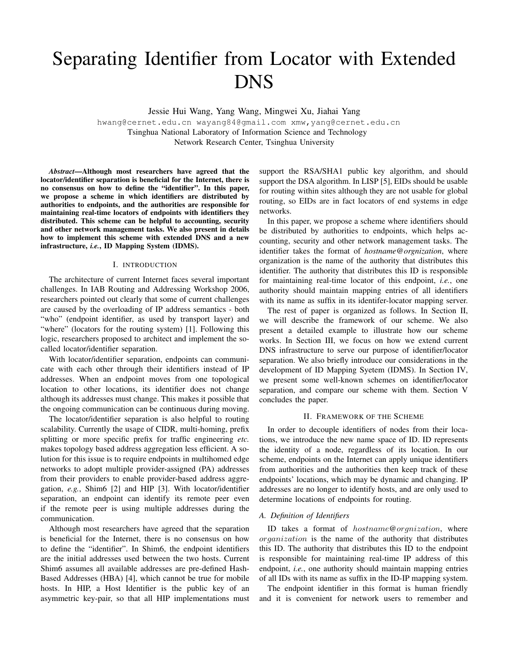# Separating Identifier from Locator with Extended DNS

Jessie Hui Wang, Yang Wang, Mingwei Xu, Jiahai Yang hwang@cernet.edu.cn wayang84@gmail.com xmw,yang@cernet.edu.cn Tsinghua National Laboratory of Information Science and Technology Network Research Center, Tsinghua University

*Abstract*—Although most researchers have agreed that the locator/identifier separation is beneficial for the Internet, there is no consensus on how to define the "identifier". In this paper, we propose a scheme in which identifiers are distributed by authorities to endpoints, and the authorities are responsible for maintaining real-time locators of endpoints with identifiers they distributed. This scheme can be helpful to accounting, security and other network management tasks. We also present in details how to implement this scheme with extended DNS and a new infrastructure, *i.e.*, ID Mapping System (IDMS).

#### I. INTRODUCTION

The architecture of current Internet faces several important challenges. In IAB Routing and Addressing Workshop 2006, researchers pointed out clearly that some of current challenges are caused by the overloading of IP address semantics - both "who" (endpoint identifier, as used by transport layer) and "where" (locators for the routing system) [1]. Following this logic, researchers proposed to architect and implement the socalled locator/identifier separation.

With locator/identifier separation, endpoints can communicate with each other through their identifiers instead of IP addresses. When an endpoint moves from one topological location to other locations, its identifier does not change although its addresses must change. This makes it possible that the ongoing communication can be continuous during moving.

The locator/identifier separation is also helpful to routing scalability. Currently the usage of CIDR, multi-homing, prefix splitting or more specific prefix for traffic engineering *etc.* makes topology based address aggregation less efficient. A solution for this issue is to require endpoints in multihomed edge networks to adopt multiple provider-assigned (PA) addresses from their providers to enable provider-based address aggregation, *e.g.*, Shim6 [2] and HIP [3]. With locator/identifier separation, an endpoint can identify its remote peer even if the remote peer is using multiple addresses during the communication.

Although most researchers have agreed that the separation is beneficial for the Internet, there is no consensus on how to define the "identifier". In Shim6, the endpoint identifiers are the initial addresses used between the two hosts. Current Shim6 assumes all available addresses are pre-defined Hash-Based Addresses (HBA) [4], which cannot be true for mobile hosts. In HIP, a Host Identifier is the public key of an asymmetric key-pair, so that all HIP implementations must support the RSA/SHA1 public key algorithm, and should support the DSA algorithm. In LISP [5], EIDs should be usable for routing within sites although they are not usable for global routing, so EIDs are in fact locators of end systems in edge networks.

In this paper, we propose a scheme where identifiers should be distributed by authorities to endpoints, which helps accounting, security and other network management tasks. The identifier takes the format of *hostname@orgnization*, where organization is the name of the authority that distributes this identifier. The authority that distributes this ID is responsible for maintaining real-time locator of this endpoint, *i.e.*, one authority should maintain mapping entries of all identifiers with its name as suffix in its identifer-locator mapping server.

The rest of paper is organized as follows. In Section II, we will describe the framework of our scheme. We also present a detailed example to illustrate how our scheme works. In Section III, we focus on how we extend current DNS infrastructure to serve our purpose of identifier/locator separation. We also briefly introduce our considerations in the development of ID Mapping Syetem (IDMS). In Section IV, we present some well-known schemes on identifier/locator separation, and compare our scheme with them. Section V concludes the paper.

### II. FRAMEWORK OF THE SCHEME

In order to decouple identifiers of nodes from their locations, we introduce the new name space of ID. ID represents the identity of a node, regardless of its location. In our scheme, endpoints on the Internet can apply unique identifiers from authorities and the authorities then keep track of these endpoints' locations, which may be dynamic and changing. IP addresses are no longer to identify hosts, and are only used to determine locations of endpoints for routing.

# *A. Definition of Identifiers*

ID takes a format of *hostname*@*orgnization*, where *organization* is the name of the authority that distributes this ID. The authority that distributes this ID to the endpoint is responsible for maintaining real-time IP address of this endpoint, *i.e.*, one authority should maintain mapping entries of all IDs with its name as suffix in the ID-IP mapping system.

The endpoint identifier in this format is human friendly and it is convenient for network users to remember and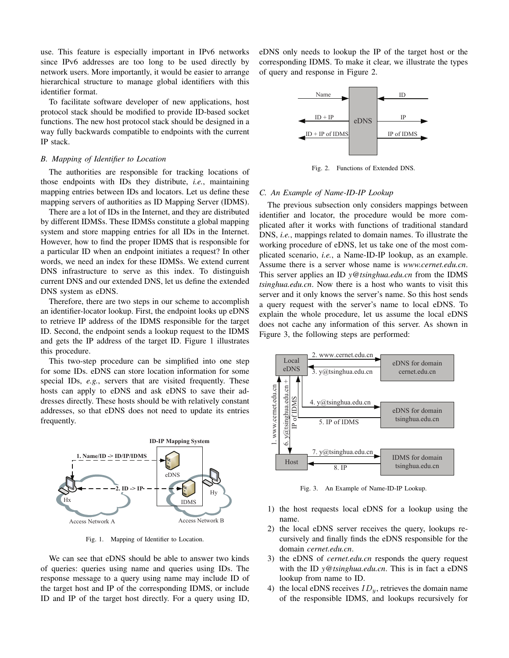use. This feature is especially important in IPv6 networks since IPv6 addresses are too long to be used directly by network users. More importantly, it would be easier to arrange hierarchical structure to manage global identifiers with this identifier format.

To facilitate software developer of new applications, host protocol stack should be modified to provide ID-based socket functions. The new host protocol stack should be designed in a way fully backwards compatible to endpoints with the current IP stack.

# *B. Mapping of Identifier to Location*

The authorities are responsible for tracking locations of those endpoints with IDs they distribute, *i.e.*, maintaining mapping entries between IDs and locators. Let us define these mapping servers of authorities as ID Mapping Server (IDMS).

There are a lot of IDs in the Internet, and they are distributed by different IDMSs. These IDMSs constitute a global mapping system and store mapping entries for all IDs in the Internet. However, how to find the proper IDMS that is responsible for a particular ID when an endpoint initiates a request? In other words, we need an index for these IDMSs. We extend current DNS infrastructure to serve as this index. To distinguish current DNS and our extended DNS, let us define the extended DNS system as eDNS.

Therefore, there are two steps in our scheme to accomplish an identifier-locator lookup. First, the endpoint looks up eDNS to retrieve IP address of the IDMS responsible for the target ID. Second, the endpoint sends a lookup request to the IDMS and gets the IP address of the target ID. Figure 1 illustrates this procedure.

This two-step procedure can be simplified into one step for some IDs. eDNS can store location information for some special IDs, *e.g.*, servers that are visited frequently. These hosts can apply to eDNS and ask eDNS to save their addresses directly. These hosts should be with relatively constant addresses, so that eDNS does not need to update its entries frequently.



Fig. 1. Mapping of Identifier to Location.

We can see that eDNS should be able to answer two kinds of queries: queries using name and queries using IDs. The response message to a query using name may include ID of the target host and IP of the corresponding IDMS, or include ID and IP of the target host directly. For a query using ID,

eDNS only needs to lookup the IP of the target host or the corresponding IDMS. To make it clear, we illustrate the types of query and response in Figure 2.



Fig. 2. Functions of Extended DNS.

## *C. An Example of Name-ID-IP Lookup*

The previous subsection only considers mappings between identifier and locator, the procedure would be more complicated after it works with functions of traditional standard DNS, *i.e.*, mappings related to domain names. To illustrate the working procedure of eDNS, let us take one of the most complicated scenario, *i.e.*, a Name-ID-IP lookup, as an example. Assume there is a server whose name is *www.cernet.edu.cn*. This server applies an ID *y@tsinghua.edu.cn* from the IDMS *tsinghua.edu.cn*. Now there is a host who wants to visit this server and it only knows the server's name. So this host sends a query request with the server's name to local eDNS. To explain the whole procedure, let us assume the local eDNS does not cache any information of this server. As shown in Figure 3, the following steps are performed:



Fig. 3. An Example of Name-ID-IP Lookup.

- 1) the host requests local eDNS for a lookup using the name.
- 2) the local eDNS server receives the query, lookups recursively and finally finds the eDNS responsible for the domain *cernet.edu.cn*.
- 3) the eDNS of *cernet.edu.cn* responds the query request with the ID *y@tsinghua.edu.cn*. This is in fact a eDNS lookup from name to ID.
- 4) the local eDNS receives *IDy*, retrieves the domain name of the responsible IDMS, and lookups recursively for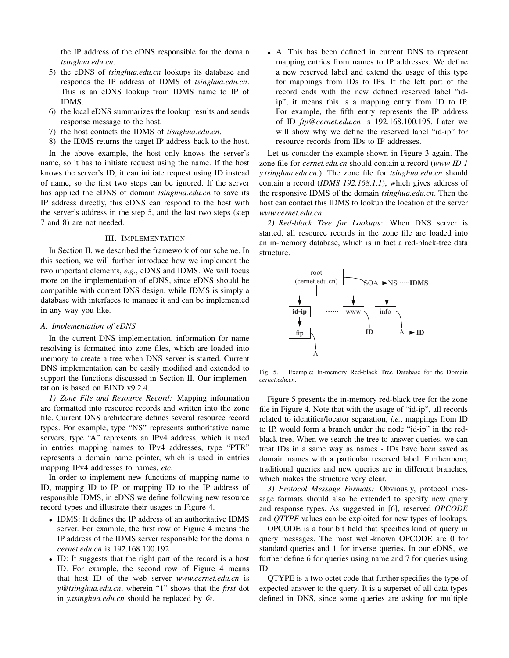the IP address of the eDNS responsible for the domain *tsinghua.edu.cn*.

- 5) the eDNS of *tsinghua.edu.cn* lookups its database and responds the IP address of IDMS of *tsinghua.edu.cn*. This is an eDNS lookup from IDMS name to IP of IDMS.
- 6) the local eDNS summarizes the lookup results and sends response message to the host.
- 7) the host contacts the IDMS of *tisnghua.edu.cn*.
- 8) the IDMS returns the target IP address back to the host.

In the above example, the host only knows the server's name, so it has to initiate request using the name. If the host knows the server's ID, it can initiate request using ID instead of name, so the first two steps can be ignored. If the server has applied the eDNS of domain *tsinghua.edu.cn* to save its IP address directly, this eDNS can respond to the host with the server's address in the step 5, and the last two steps (step 7 and 8) are not needed.

#### III. IMPLEMENTATION

In Section II, we described the framework of our scheme. In this section, we will further introduce how we implement the two important elements, *e.g.*, eDNS and IDMS. We will focus more on the implementation of eDNS, since eDNS should be compatible with current DNS design, while IDMS is simply a database with interfaces to manage it and can be implemented in any way you like.

#### *A. Implementation of eDNS*

In the current DNS implementation, information for name resolving is formatted into zone files, which are loaded into memory to create a tree when DNS server is started. Current DNS implementation can be easily modified and extended to support the functions discussed in Section II. Our implementation is based on BIND v9.2.4.

*1) Zone File and Resource Record:* Mapping information are formatted into resource records and written into the zone file. Current DNS architecture defines several resource record types. For example, type "NS" represents authoritative name servers, type "A" represents an IPv4 address, which is used in entries mapping names to IPv4 addresses, type "PTR" represents a domain name pointer, which is used in entries mapping IPv4 addresses to names, *etc*.

In order to implement new functions of mapping name to ID, mapping ID to IP, or mapping ID to the IP address of responsible IDMS, in eDNS we define following new resource record types and illustrate their usages in Figure 4.

- *•* IDMS: It defines the IP address of an authoritative IDMS server. For example, the first row of Figure 4 means the IP address of the IDMS server responsible for the domain *cernet.edu.cn* is 192.168.100.192.
- ID: It suggests that the right part of the record is a host ID. For example, the second row of Figure 4 means that host ID of the web server *www.cernet.edu.cn* is *y@tsinghua.edu.cn*, wherein "1" shows that the *first* dot in *y.tsinghua.edu.cn* should be replaced by @.

*•* A: This has been defined in current DNS to represent mapping entries from names to IP addresses. We define a new reserved label and extend the usage of this type for mappings from IDs to IPs. If the left part of the record ends with the new defined reserved label "idip", it means this is a mapping entry from ID to IP. For example, the fifth entry represents the IP address of ID *ftp@cernet.edu.cn* is 192.168.100.195. Later we will show why we define the reserved label "id-ip" for resource records from IDs to IP addresses.

Let us consider the example shown in Figure 3 again. The zone file for *cernet.edu.cn* should contain a record (*www ID 1 y.tsinghua.edu.cn.*). The zone file for *tsinghua.edu.cn* should contain a record (*IDMS 192.168.1.1*), which gives address of the responsive IDMS of the domain *tsinghua.edu.cn*. Then the host can contact this IDMS to lookup the location of the server *www.cernet.edu.cn*.

*2) Red-black Tree for Lookups:* When DNS server is started, all resource records in the zone file are loaded into an in-memory database, which is in fact a red-black-tree data structure.



Fig. 5. Example: In-memory Red-black Tree Database for the Domain *cernet.edu.cn*.

Figure 5 presents the in-memory red-black tree for the zone file in Figure 4. Note that with the usage of "id-ip", all records related to identifier/locator separation, *i.e.*, mappings from ID to IP, would form a branch under the node "id-ip" in the redblack tree. When we search the tree to answer queries, we can treat IDs in a same way as names - IDs have been saved as domain names with a particular reserved label. Furthermore, traditional queries and new queries are in different branches, which makes the structure very clear.

*3) Protocol Message Formats:* Obviously, protocol message formats should also be extended to specify new query and response types. As suggested in [6], reserved *OPCODE* and *QTYPE* values can be exploited for new types of lookups.

OPCODE is a four bit field that specifies kind of query in query messages. The most well-known OPCODE are 0 for standard queries and 1 for inverse queries. In our eDNS, we further define 6 for queries using name and 7 for queries using ID.

QTYPE is a two octet code that further specifies the type of expected answer to the query. It is a superset of all data types defined in DNS, since some queries are asking for multiple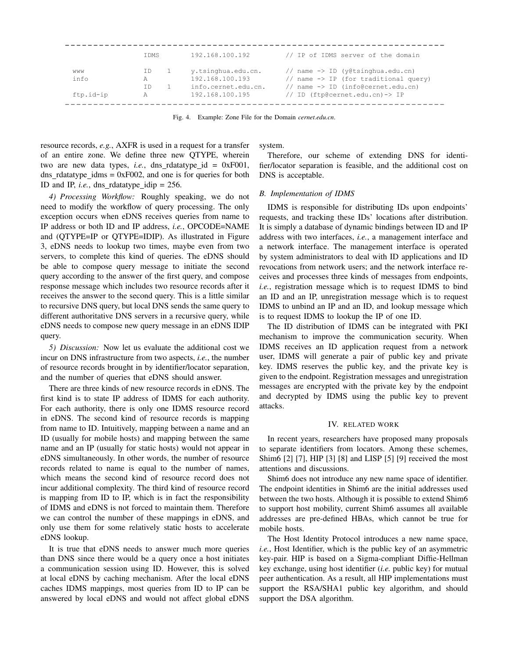|             | <b>TDMS</b> | 192.168.100.192                        | // IP of IDMS server of the domain                                         |
|-------------|-------------|----------------------------------------|----------------------------------------------------------------------------|
| WWW<br>info | T D<br>Α    | y.tsinghua.edu.cn.<br>192.168.100.193  | // name -> ID (y@tsinghua.edu.cn)<br>// name -> IP (for traditional query) |
| ftp.id-ip   | ΤD<br>Α     | info.cernet.edu.cn.<br>192.168.100.195 | // name -> ID (info@cernet.edu.cn)<br>// ID (ftp@cernet.edu.cn) -> IP      |

Fig. 4. Example: Zone File for the Domain *cernet.edu.cn*.

resource records, *e.g.*, AXFR is used in a request for a transfer of an entire zone. We define three new QTYPE, wherein two are new data types, *i.e.*, dns\_rdatatype\_id =  $0xF001$ , dns rdatatype idms  $= 0xF002$ , and one is for queries for both ID and IP, *i.e.*, dns\_rdatatype\_idip =  $256$ .

*4) Processing Workflow:* Roughly speaking, we do not need to modify the workflow of query processing. The only exception occurs when eDNS receives queries from name to IP address or both ID and IP address, *i.e.*, OPCODE=NAME and (QTYPE=IP or QTYPE=IDIP). As illustrated in Figure 3, eDNS needs to lookup two times, maybe even from two servers, to complete this kind of queries. The eDNS should be able to compose query message to initiate the second query according to the answer of the first query, and compose response message which includes two resource records after it receives the answer to the second query. This is a little similar to recursive DNS query, but local DNS sends the same query to different authoritative DNS servers in a recursive query, while eDNS needs to compose new query message in an eDNS IDIP query.

*5) Discussion:* Now let us evaluate the additional cost we incur on DNS infrastructure from two aspects, *i.e.*, the number of resource records brought in by identifier/locator separation, and the number of queries that eDNS should answer.

There are three kinds of new resource records in eDNS. The first kind is to state IP address of IDMS for each authority. For each authority, there is only one IDMS resource record in eDNS. The second kind of resource records is mapping from name to ID. Intuitively, mapping between a name and an ID (usually for mobile hosts) and mapping between the same name and an IP (usually for static hosts) would not appear in eDNS simultaneously. In other words, the number of resource records related to name is equal to the number of names, which means the second kind of resource record does not incur additional complexity. The third kind of resource record is mapping from ID to IP, which is in fact the responsibility of IDMS and eDNS is not forced to maintain them. Therefore we can control the number of these mappings in eDNS, and only use them for some relatively static hosts to accelerate eDNS lookup.

It is true that eDNS needs to answer much more queries than DNS since there would be a query once a host initiates a communication session using ID. However, this is solved at local eDNS by caching mechanism. After the local eDNS caches IDMS mappings, most queries from ID to IP can be answered by local eDNS and would not affect global eDNS system.

Therefore, our scheme of extending DNS for identifier/locator separation is feasible, and the additional cost on DNS is acceptable.

## *B. Implementation of IDMS*

IDMS is responsible for distributing IDs upon endpoints' requests, and tracking these IDs' locations after distribution. It is simply a database of dynamic bindings between ID and IP address with two interfaces, *i.e.*, a management interface and a network interface. The management interface is operated by system administrators to deal with ID applications and ID revocations from network users; and the network interface receives and processes three kinds of messages from endpoints, *i.e.*, registration message which is to request IDMS to bind an ID and an IP, unregistration message which is to request IDMS to unbind an IP and an ID, and lookup message which is to request IDMS to lookup the IP of one ID.

The ID distribution of IDMS can be integrated with PKI mechanism to improve the communication security. When IDMS receives an ID application request from a network user, IDMS will generate a pair of public key and private key. IDMS reserves the public key, and the private key is given to the endpoint. Registration messages and unregistration messages are encrypted with the private key by the endpoint and decrypted by IDMS using the public key to prevent attacks.

#### IV. RELATED WORK

In recent years, researchers have proposed many proposals to separate identifiers from locators. Among these schemes, Shim6 [2] [7], HIP [3] [8] and LISP [5] [9] received the most attentions and discussions.

Shim6 does not introduce any new name space of identifier. The endpoint identities in Shim6 are the initial addresses used between the two hosts. Although it is possible to extend Shim6 to support host mobility, current Shim6 assumes all available addresses are pre-defined HBAs, which cannot be true for mobile hosts.

The Host Identity Protocol introduces a new name space, *i.e.*, Host Identifier, which is the public key of an asymmetric key-pair. HIP is based on a Sigma-compliant Diffie-Hellman key exchange, using host identifier (*i.e.* public key) for mutual peer authentication. As a result, all HIP implementations must support the RSA/SHA1 public key algorithm, and should support the DSA algorithm.